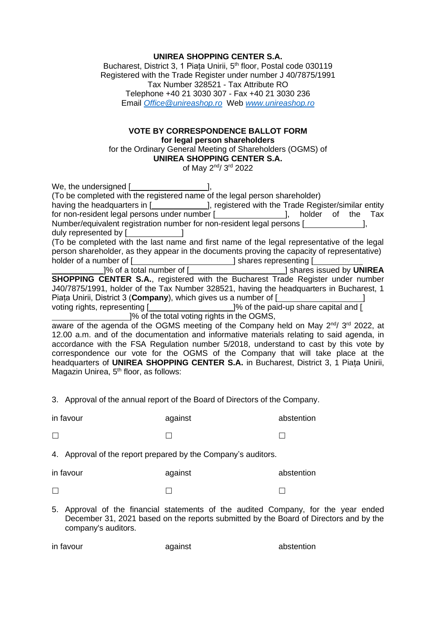## **UNIREA SHOPPING CENTER S.A.**

Bucharest, District 3, 1 Piața Unirii, 5<sup>th</sup> floor, Postal code 030119 Registered with the Trade Register under number J 40/7875/1991 Tax Number 328521 - Tax Attribute RO Telephone +40 21 3030 307 - Fax +40 21 3030 236 Email *[Office@unireashop.ro](mailto:Office@unireashop.ro)* Web *[www.unireashop.ro](http://www.unireashop.ro/)*

## **VOTE BY CORRESPONDENCE BALLOT FORM for legal person shareholders**

for the Ordinary General Meeting of Shareholders (OGMS) of **UNIREA SHOPPING CENTER S.A.**

of May 2<sup>nd</sup>/ 3<sup>rd</sup> 2022

| We, the undersigned [ <b>willer</b> contains the unit of the unit of the unit of the unit of the unit of the unit of the unit of the unit of the unit of the unit of the unit of the unit of the unit of the unit of the unit of the |
|--------------------------------------------------------------------------------------------------------------------------------------------------------------------------------------------------------------------------------------|
| (To be completed with the registered name of the legal person shareholder)                                                                                                                                                           |
| having the headquarters in [ <b>wire also now more constraint</b> ], registered with the Trade Register/similar entity                                                                                                               |
| for non-resident legal persons under number [ <i>_________________</i> ], holder of the Tax                                                                                                                                          |
| Number/equivalent registration number for non-resident legal persons [                                                                                                                                                               |
| duly represented by [ <b>willing</b> and <b>large contact</b> and <b>large contact</b> and <b>large contact</b> and <b>large contact a</b>                                                                                           |
| (To be completed with the last name and first name of the legal representative of the legal                                                                                                                                          |
| person shareholder, as they appear in the documents proving the capacity of representative)                                                                                                                                          |
| holder of a number of [ <i>_______________________</i> ] shares representing [ <i>____________</i>                                                                                                                                   |
| ]% of a total number of [_________________________] shares issued by UNIREA                                                                                                                                                          |
| <b>SHOPPING CENTER S.A., registered with the Bucharest Trade Register under number</b>                                                                                                                                               |
| J40/7875/1991, holder of the Tax Number 328521, having the headquarters in Bucharest, 1                                                                                                                                              |
| Piata Unirii, District 3 (Company), which gives us a number of [                                                                                                                                                                     |
| voting rights, representing [ <b><i>_____________________</i></b> ]% of the paid-up share capital and [                                                                                                                              |
| 1% of the total voting rights in the OGMS,                                                                                                                                                                                           |
| aware of the agenda of the OGMS meeting of the Company held on May 2 <sup>nd</sup> / 3 <sup>rd</sup> 2022, at                                                                                                                        |
| 12.00 a.m. and of the documentation and informative materials relating to said agenda, in                                                                                                                                            |
| accordance with the FSA Regulation number 5/2018, understand to cast by this vote by                                                                                                                                                 |
| correspondence our vote for the OGMS of the Company that will take place at the                                                                                                                                                      |
| headquarters of UNIREA SHOPPING CENTER S.A. in Bucharest, District 3, 1 Piața Unirii,                                                                                                                                                |

Magazin Unirea, 5<sup>th</sup> floor, as follows:

in favour against abstention  $\Box$  and  $\Box$  and  $\Box$  and  $\Box$  and  $\Box$  and  $\Box$  and  $\Box$ 

3. Approval of the annual report of the Board of Directors of the Company.

4. Approval of the report prepared by the Company's auditors.

| in favour | against | abstention |
|-----------|---------|------------|
|           |         |            |

5. Approval of the financial statements of the audited Company, for the year ended December 31, 2021 based on the reports submitted by the Board of Directors and by the company's auditors.

| in favour | against | abstention |
|-----------|---------|------------|
|           |         |            |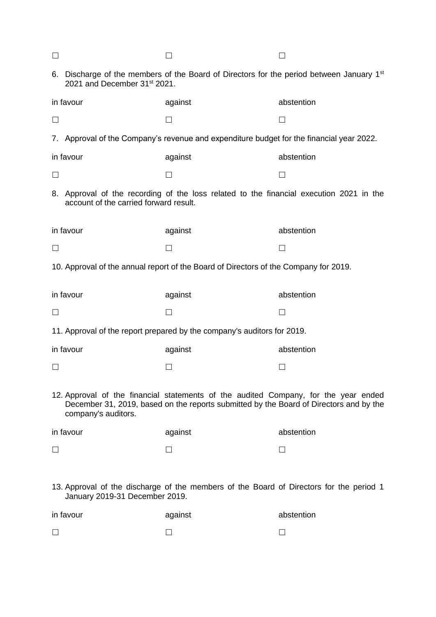| $\Box$                                                                                                                                                                                               |                                          |                                                                                                      |            |
|------------------------------------------------------------------------------------------------------------------------------------------------------------------------------------------------------|------------------------------------------|------------------------------------------------------------------------------------------------------|------------|
|                                                                                                                                                                                                      | 2021 and December 31 <sup>st</sup> 2021. | 6. Discharge of the members of the Board of Directors for the period between January 1 <sup>st</sup> |            |
|                                                                                                                                                                                                      | in favour                                | against                                                                                              | abstention |
| $\Box$                                                                                                                                                                                               |                                          |                                                                                                      | $\Box$     |
|                                                                                                                                                                                                      |                                          | 7. Approval of the Company's revenue and expenditure budget for the financial year 2022.             |            |
|                                                                                                                                                                                                      | in favour                                | against                                                                                              | abstention |
| $\Box$                                                                                                                                                                                               |                                          | $\mathsf{L}$                                                                                         | П          |
|                                                                                                                                                                                                      | account of the carried forward result.   | 8. Approval of the recording of the loss related to the financial execution 2021 in the              |            |
|                                                                                                                                                                                                      | in favour                                | against                                                                                              | abstention |
| $\Box$                                                                                                                                                                                               |                                          |                                                                                                      | П          |
|                                                                                                                                                                                                      |                                          | 10. Approval of the annual report of the Board of Directors of the Company for 2019.                 |            |
|                                                                                                                                                                                                      | in favour                                | against                                                                                              | abstention |
| $\Box$                                                                                                                                                                                               |                                          |                                                                                                      | П          |
|                                                                                                                                                                                                      |                                          | 11. Approval of the report prepared by the company's auditors for 2019.                              |            |
|                                                                                                                                                                                                      | in favour                                | against                                                                                              | abstention |
| $\Box$                                                                                                                                                                                               |                                          |                                                                                                      |            |
| 12. Approval of the financial statements of the audited Company, for the year ended<br>December 31, 2019, based on the reports submitted by the Board of Directors and by the<br>company's auditors. |                                          |                                                                                                      |            |
|                                                                                                                                                                                                      | in favour                                | against                                                                                              | abstention |
| $\Box$                                                                                                                                                                                               |                                          | $\perp$                                                                                              | $\perp$    |
|                                                                                                                                                                                                      |                                          |                                                                                                      |            |
|                                                                                                                                                                                                      |                                          | 13. Approval of the discharge of the members of the Board of Directors for the period 1              |            |

January 2019-31 December 2019.

| in favour | against | abstention |
|-----------|---------|------------|
|           |         |            |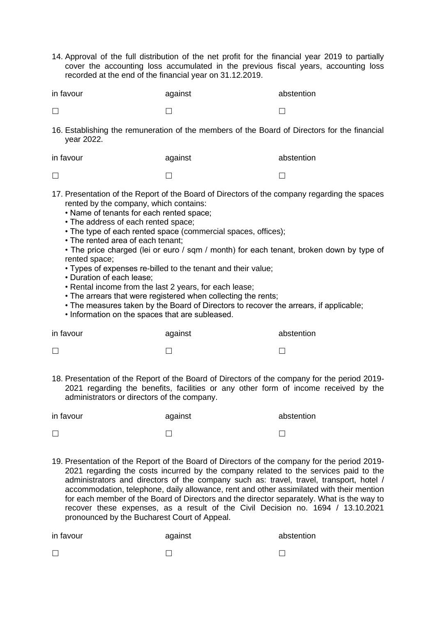14. Approval of the full distribution of the net profit for the financial year 2019 to partially cover the accounting loss accumulated in the previous fiscal years, accounting loss recorded at the end of the financial year on 31.12.2019.

| in favour | against | abstention |
|-----------|---------|------------|
|           |         |            |

 $\Box$  and  $\Box$  and  $\Box$  and  $\Box$  and  $\Box$  and  $\Box$  and  $\Box$ 

16. Establishing the remuneration of the members of the Board of Directors for the financial year 2022.

| in favour | against | abstention |
|-----------|---------|------------|
|           |         |            |

- 17. Presentation of the Report of the Board of Directors of the company regarding the spaces rented by the company, which contains:
	- Name of tenants for each rented space;
	- The address of each rented space;
	- The type of each rented space (commercial spaces, offices);
	- The rented area of each tenant;
	- The price charged (lei or euro / sqm / month) for each tenant, broken down by type of rented space;
	- Types of expenses re-billed to the tenant and their value;
	- Duration of each lease;
	- Rental income from the last 2 years, for each lease;
	- The arrears that were registered when collecting the rents;
	- The measures taken by the Board of Directors to recover the arrears, if applicable;
	- Information on the spaces that are subleased.

| in favour | against | abstention |
|-----------|---------|------------|
| $\Box$    |         |            |

18. Presentation of the Report of the Board of Directors of the company for the period 2019- 2021 regarding the benefits, facilities or any other form of income received by the administrators or directors of the company.

| in favour | against | abstention |
|-----------|---------|------------|
|           |         |            |

19. Presentation of the Report of the Board of Directors of the company for the period 2019- 2021 regarding the costs incurred by the company related to the services paid to the administrators and directors of the company such as: travel, travel, transport, hotel / accommodation, telephone, daily allowance, rent and other assimilated with their mention for each member of the Board of Directors and the director separately. What is the way to recover these expenses, as a result of the Civil Decision no. 1694 / 13.10.2021 pronounced by the Bucharest Court of Appeal.

| in favour | against | abstention |
|-----------|---------|------------|
|           |         |            |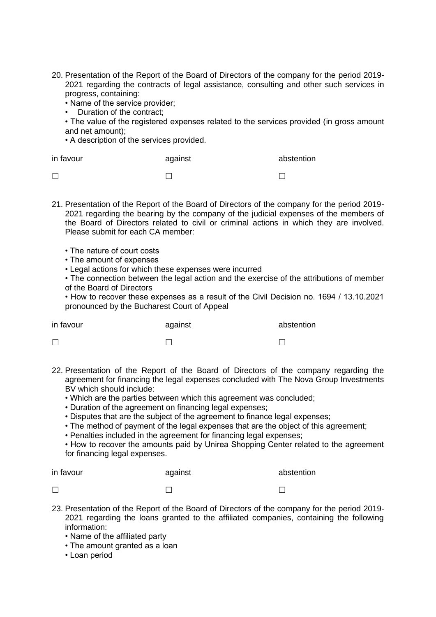- 20. Presentation of the Report of the Board of Directors of the company for the period 2019- 2021 regarding the contracts of legal assistance, consulting and other such services in progress, containing:
	- Name of the service provider;
	- Duration of the contract;
	- The value of the registered expenses related to the services provided (in gross amount and net amount);
	- A description of the services provided.

| in favour | against | abstention |
|-----------|---------|------------|
| $\Box$    |         |            |

- 21. Presentation of the Report of the Board of Directors of the company for the period 2019- 2021 regarding the bearing by the company of the judicial expenses of the members of the Board of Directors related to civil or criminal actions in which they are involved. Please submit for each CA member:
	- The nature of court costs
	- The amount of expenses
	- Legal actions for which these expenses were incurred
	- The connection between the legal action and the exercise of the attributions of member of the Board of Directors

• How to recover these expenses as a result of the Civil Decision no. 1694 / 13.10.2021 pronounced by the Bucharest Court of Appeal

| in favour | against | abstention |
|-----------|---------|------------|
| $\Box$    |         |            |

- 22. Presentation of the Report of the Board of Directors of the company regarding the agreement for financing the legal expenses concluded with The Nova Group Investments BV which should include:
	- Which are the parties between which this agreement was concluded;
	- Duration of the agreement on financing legal expenses;
	- Disputes that are the subject of the agreement to finance legal expenses;
	- The method of payment of the legal expenses that are the object of this agreement;
	- Penalties included in the agreement for financing legal expenses;
	- How to recover the amounts paid by Unirea Shopping Center related to the agreement for financing legal expenses.

| in favour | against | abstention |
|-----------|---------|------------|
| $\Box$    |         |            |

- 23. Presentation of the Report of the Board of Directors of the company for the period 2019- 2021 regarding the loans granted to the affiliated companies, containing the following information:
	- Name of the affiliated party
	- The amount granted as a loan
	- Loan period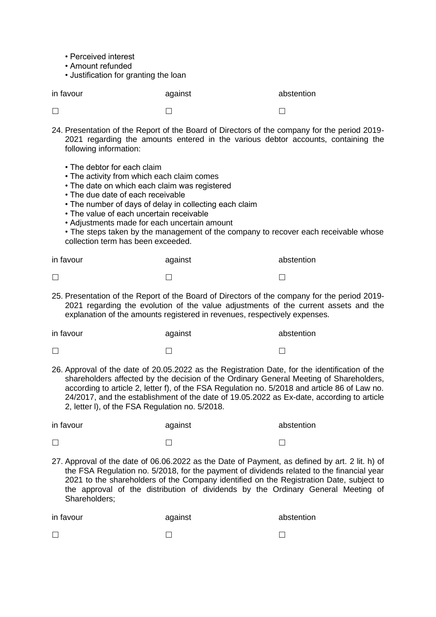- Perceived interest
- Amount refunded

• Justification for granting the loan

| in favour | against | abstention |
|-----------|---------|------------|
| $\Box$    |         |            |

- 24. Presentation of the Report of the Board of Directors of the company for the period 2019- 2021 regarding the amounts entered in the various debtor accounts, containing the following information:
	- The debtor for each claim
	- The activity from which each claim comes
	- The date on which each claim was registered
	- The due date of each receivable
	- The number of days of delay in collecting each claim
	- The value of each uncertain receivable
	- Adjustments made for each uncertain amount

• The steps taken by the management of the company to recover each receivable whose collection term has been exceeded.

| in favour | against | abstention |
|-----------|---------|------------|
|           |         |            |

25. Presentation of the Report of the Board of Directors of the company for the period 2019- 2021 regarding the evolution of the value adjustments of the current assets and the explanation of the amounts registered in revenues, respectively expenses.

| in favour | against | abstention |
|-----------|---------|------------|
|           |         |            |

26. Approval of the date of 20.05.2022 as the Registration Date, for the identification of the shareholders affected by the decision of the Ordinary General Meeting of Shareholders, according to article 2, letter f), of the FSA Regulation no. 5/2018 and article 86 of Law no. 24/2017, and the establishment of the date of 19.05.2022 as Ex-date, according to article 2, letter l), of the FSA Regulation no. 5/2018.

| in favour | against | abstention |
|-----------|---------|------------|
|           |         |            |

27. Approval of the date of 06.06.2022 as the Date of Payment, as defined by art. 2 lit. h) of the FSA Regulation no. 5/2018, for the payment of dividends related to the financial year 2021 to the shareholders of the Company identified on the Registration Date, subject to the approval of the distribution of dividends by the Ordinary General Meeting of Shareholders;

| in favour | against | abstention |
|-----------|---------|------------|
|           |         |            |